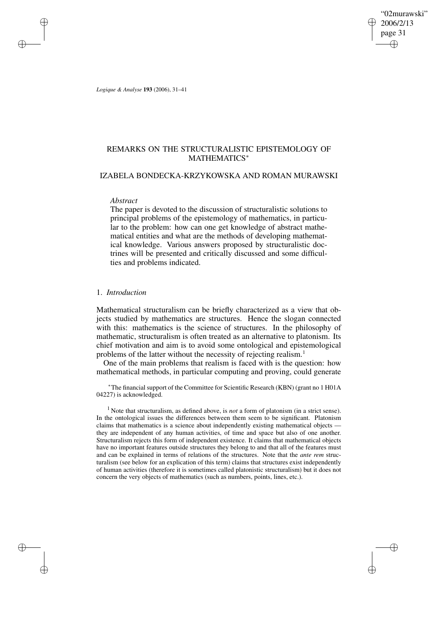"02murawski" 2006/2/13 page 31 ✐ ✐

✐

✐

*Logique & Analyse* **193** (2006), 31–41

✐

✐

✐

✐

# REMARKS ON THE STRUCTURALISTIC EPISTEMOLOGY OF MATHEMATICS<sup>∗</sup>

# IZABELA BONDECKA-KRZYKOWSKA AND ROMAN MURAWSKI

### *Abstract*

The paper is devoted to the discussion of structuralistic solutions to principal problems of the epistemology of mathematics, in particular to the problem: how can one get knowledge of abstract mathematical entities and what are the methods of developing mathematical knowledge. Various answers proposed by structuralistic doctrines will be presented and critically discussed and some difficulties and problems indicated.

## 1. *Introduction*

Mathematical structuralism can be briefly characterized as a view that objects studied by mathematics are structures. Hence the slogan connected with this: mathematics is the science of structures. In the philosophy of mathematic, structuralism is often treated as an alternative to platonism. Its chief motivation and aim is to avoid some ontological and epistemological problems of the latter without the necessity of rejecting realism.<sup>1</sup>

One of the main problems that realism is faced with is the question: how mathematical methods, in particular computing and proving, could generate

<sup>∗</sup>The financialsupport of the Committee for Scientific Research (KBN) (grant no 1 H01A 04227) is acknowledged.

<sup>1</sup> Note that structuralism, as defined above, is *not* a form of platonism (in a strict sense). In the ontological issues the differences between them seem to be significant. Platonism claims that mathematics is a science about independently existing mathematical objects they are independent of any human activities, of time and space but also of one another. Structuralism rejects this form of independent existence. It claims that mathematical objects have no important features outside structures they belong to and that all of the features must and can be explained in terms of relations of the structures. Note that the *ante rem* structuralism (see below for an explication of this term) claims that structures exist independently of human activities (therefore it is sometimes called platonistic structuralism) but it does not concern the very objects of mathematics (such as numbers, points, lines, etc.).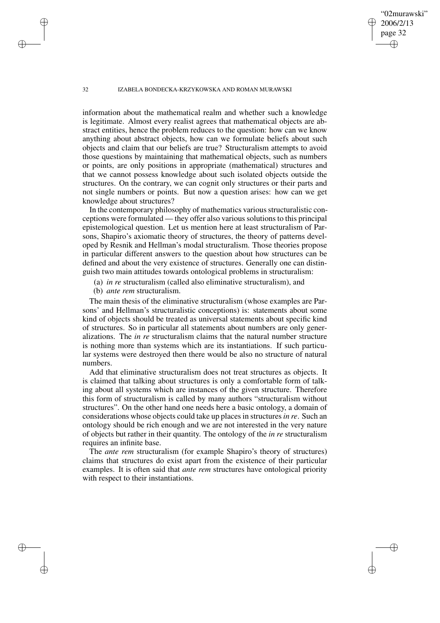32 IZABELA BONDECKA-KRZYKOWSKA AND ROMAN MURAWSKI

"02murawski" 2006/2/13 page 32

✐

✐

✐

✐

information about the mathematical realm and whether such a knowledge is legitimate. Almost every realist agrees that mathematical objects are abstract entities, hence the problem reduces to the question: how can we know anything about abstract objects, how can we formulate beliefs about such objects and claim that our beliefs are true? Structuralism attempts to avoid those questions by maintaining that mathematical objects, such as numbers or points, are only positions in appropriate (mathematical) structures and that we cannot possess knowledge about such isolated objects outside the structures. On the contrary, we can cognit only structures or their parts and not single numbers or points. But now a question arises: how can we get knowledge about structures?

In the contemporary philosophy of mathematics various structuralistic conceptions were formulated — they offer also various solutions to this principal epistemological question. Let us mention here at least structuralism of Parsons, Shapiro's axiomatic theory of structures, the theory of patterns developed by Resnik and Hellman's modal structuralism. Those theories propose in particular different answers to the question about how structures can be defined and about the very existence of structures. Generally one can distinguish two main attitudes towards ontological problems in structuralism:

- (a) *in re* structuralism (called also eliminative structuralism), and
- (b) *ante rem* structuralism.

The main thesis of the eliminative structuralism (whose examples are Parsons' and Hellman's structuralistic conceptions) is: statements about some kind of objects should be treated as universal statements about specific kind of structures. So in particular all statements about numbers are only generalizations. The *in re* structuralism claims that the natural number structure is nothing more than systems which are its instantiations. If such particular systems were destroyed then there would be also no structure of natural numbers.

Add that eliminative structuralism does not treat structures as objects. It is claimed that talking about structures is only a comfortable form of talking about all systems which are instances of the given structure. Therefore this form of structuralism is called by many authors "structuralism without structures". On the other hand one needs here a basic ontology, a domain of considerations whose objects could take up placesin structures*in re*. Such an ontology should be rich enough and we are not interested in the very nature of objects but rather in their quantity. The ontology of the *in re* structuralism requires an infinite base.

The *ante rem* structuralism (for example Shapiro's theory of structures) claims that structures do exist apart from the existence of their particular examples. It is often said that *ante rem* structures have ontological priority with respect to their instantiations.

✐

✐

✐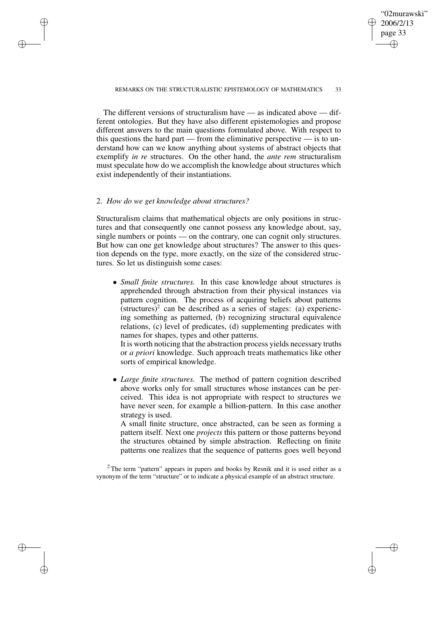✐

✐

#### REMARKS ON THE STRUCTURALISTIC EPISTEMOLOGY OF MATHEMATICS 33

The different versions of structuralism have — as indicated above — different ontologies. But they have also different epistemologies and propose different answers to the main questions formulated above. With respect to this questions the hard part — from the eliminative perspective — is to understand how can we know anything about systems of abstract objects that exemplify *in re* structures. On the other hand, the *ante rem* structuralism must speculate how do we accomplish the knowledge about structures which exist independently of their instantiations.

### 2. *How do we get knowledge about structures?*

✐

✐

✐

✐

Structuralism claims that mathematical objects are only positions in structures and that consequently one cannot possess any knowledge about, say, single numbers or points — on the contrary, one can cognit only structures. But how can one get knowledge about structures? The answer to this question depends on the type, more exactly, on the size of the considered structures. So let us distinguish some cases:

• *Small finite structures.* In this case knowledge about structures is apprehended through abstraction from their physical instances via pattern cognition. The process of acquiring beliefs about patterns  $(structures)^2$  can be described as a series of stages: (a) experiencing something as patterned, (b) recognizing structural equivalence relations, (c) level of predicates, (d) supplementing predicates with names for shapes, types and other patterns.

It is worth noticing that the abstraction process yields necessary truths or *a priori* knowledge. Such approach treats mathematics like other sorts of empirical knowledge.

• *Large finite structures.* The method of pattern cognition described above works only for small structures whose instances can be perceived. This idea is not appropriate with respect to structures we have never seen, for example a billion-pattern. In this case another strategy is used.

A small finite structure, once abstracted, can be seen as forming a pattern itself. Next one *projects* this pattern or those patterns beyond the structures obtained by simple abstraction. Reflecting on finite patterns one realizes that the sequence of patterns goes well beyond

<sup>2</sup> The term "pattern" appears in papers and books by Resnik and it is used either as a synonym of the term "structure" or to indicate a physical example of an abstract structure.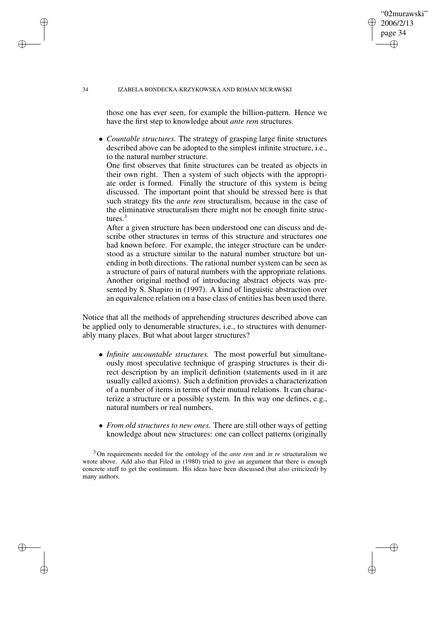#### 34 IZABELA BONDECKA-KRZYKOWSKA AND ROMAN MURAWSKI

those one has ever seen, for example the billion-pattern. Hence we have the first step to knowledge about *ante rem* structures.

"02murawski" 2006/2/13 page 34

✐

✐

✐

✐

• *Countable structures.* The strategy of grasping large finite structures described above can be adopted to the simplest infinite structure, i.e., to the natural number structure.

One first observes that finite structures can be treated as objects in their own right. Then a system of such objects with the appropriate order is formed. Finally the structure of this system is being discussed. The important point that should be stressed here is that such strategy fits the *ante rem* structuralism, because in the case of the eliminative structuralism there might not be enough finite structures $^3$ 

After a given structure has been understood one can discuss and describe other structures in terms of this structure and structures one had known before. For example, the integer structure can be understood as a structure similar to the natural number structure but unending in both directions. The rational number system can be seen as a structure of pairs of natural numbers with the appropriate relations. Another original method of introducing abstract objects was presented by S. Shapiro in (1997). A kind of linguistic abstraction over an equivalence relation on a base class of entities has been used there.

Notice that all the methods of apprehending structures described above can be applied only to denumerable structures, i.e., to structures with denumerably many places. But what about larger structures?

- *Infinite uncountable structures.* The most powerful but simultaneously most speculative technique of grasping structures is their direct description by an implicit definition (statements used in it are usually called axioms). Such a definition provides a characterization of a number of items in terms of their mutual relations. It can characterize a structure or a possible system. In this way one defines, e.g., natural numbers or real numbers.
- *From old structures to new ones.* There are still other ways of getting knowledge about new structures: one can collect patterns (originally

✐

✐

✐

<sup>3</sup> On requirements needed for the ontology of the *ante rem* and *in re* structuralism we wrote above. Add also that Filed in (1980) tried to give an argument that there is enough concrete stuff to get the continuum. His ideas have been discussed (but also criticized) by many authors.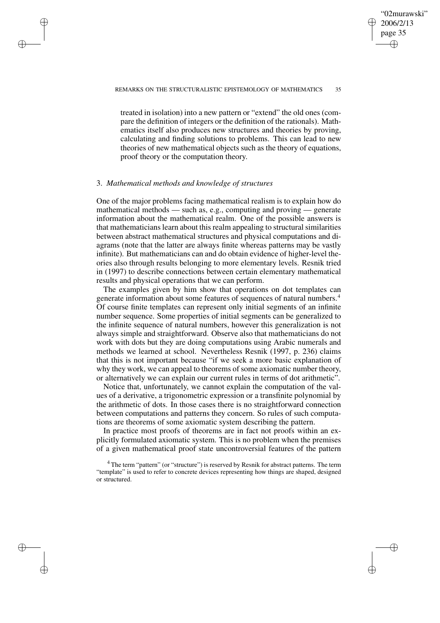✐

✐

#### REMARKS ON THE STRUCTURALISTIC EPISTEMOLOGY OF MATHEMATICS 35

treated in isolation) into a new pattern or "extend" the old ones (compare the definition of integers or the definition of the rationals). Mathematics itself also produces new structures and theories by proving, calculating and finding solutions to problems. This can lead to new theories of new mathematical objects such as the theory of equations, proof theory or the computation theory.

## 3. *Mathematical methods and knowledge of structures*

✐

✐

✐

✐

One of the major problems facing mathematical realism is to explain how do mathematical methods — such as, e.g., computing and proving — generate information about the mathematical realm. One of the possible answers is that mathematicians learn about this realm appealing to structural similarities between abstract mathematical structures and physical computations and diagrams (note that the latter are always finite whereas patterns may be vastly infinite). But mathematicians can and do obtain evidence of higher-level theories also through results belonging to more elementary levels. Resnik tried in (1997) to describe connections between certain elementary mathematical results and physical operations that we can perform.

The examples given by him show that operations on dot templates can generate information about some features of sequences of natural numbers.<sup>4</sup> Of course finite templates can represent only initial segments of an infinite number sequence. Some properties of initial segments can be generalized to the infinite sequence of natural numbers, however this generalization is not always simple and straightforward. Observe also that mathematicians do not work with dots but they are doing computations using Arabic numerals and methods we learned at school. Nevertheless Resnik (1997, p. 236) claims that this is not important because "if we seek a more basic explanation of why they work, we can appeal to theorems of some axiomatic number theory, or alternatively we can explain our current rules in terms of dot arithmetic".

Notice that, unfortunately, we cannot explain the computation of the values of a derivative, a trigonometric expression or a transfinite polynomial by the arithmetic of dots. In those cases there is no straightforward connection between computations and patterns they concern. So rules of such computations are theorems of some axiomatic system describing the pattern.

In practice most proofs of theorems are in fact not proofs within an explicitly formulated axiomatic system. This is no problem when the premises of a given mathematical proof state uncontroversial features of the pattern

<sup>&</sup>lt;sup>4</sup> The term "pattern" (or "structure") is reserved by Resnik for abstract patterns. The term "template" is used to refer to concrete devices representing how things are shaped, designed or structured.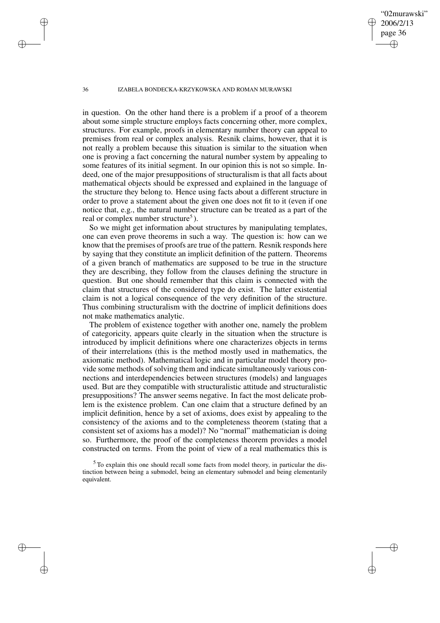"02murawski" 2006/2/13 page 36 ✐ ✐

✐

✐

### 36 IZABELA BONDECKA-KRZYKOWSKA AND ROMAN MURAWSKI

✐

✐

✐

✐

in question. On the other hand there is a problem if a proof of a theorem about some simple structure employs facts concerning other, more complex, structures. For example, proofs in elementary number theory can appeal to premises from real or complex analysis. Resnik claims, however, that it is not really a problem because this situation is similar to the situation when one is proving a fact concerning the natural number system by appealing to some features of its initial segment. In our opinion this is not so simple. Indeed, one of the major presuppositions of structuralism is that all facts about mathematical objects should be expressed and explained in the language of the structure they belong to. Hence using facts about a different structure in order to prove a statement about the given one does not fit to it (even if one notice that, e.g., the natural number structure can be treated as a part of the real or complex number structure<sup>5</sup>).

So we might get information about structures by manipulating templates, one can even prove theorems in such a way. The question is: how can we know that the premises of proofs are true of the pattern. Resnik responds here by saying that they constitute an implicit definition of the pattern. Theorems of a given branch of mathematics are supposed to be true in the structure they are describing, they follow from the clauses defining the structure in question. But one should remember that this claim is connected with the claim that structures of the considered type do exist. The latter existential claim is not a logical consequence of the very definition of the structure. Thus combining structuralism with the doctrine of implicit definitions does not make mathematics analytic.

The problem of existence together with another one, namely the problem of categoricity, appears quite clearly in the situation when the structure is introduced by implicit definitions where one characterizes objects in terms of their interrelations (this is the method mostly used in mathematics, the axiomatic method). Mathematical logic and in particular model theory provide some methods of solving them and indicate simultaneously various connections and interdependencies between structures (models) and languages used. But are they compatible with structuralistic attitude and structuralistic presuppositions? The answer seems negative. In fact the most delicate problem is the existence problem. Can one claim that a structure defined by an implicit definition, hence by a set of axioms, does exist by appealing to the consistency of the axioms and to the completeness theorem (stating that a consistent set of axioms has a model)? No "normal" mathematician is doing so. Furthermore, the proof of the completeness theorem provides a model constructed on terms. From the point of view of a real mathematics this is

<sup>&</sup>lt;sup>5</sup> To explain this one should recall some facts from model theory, in particular the distinction between being a submodel, being an elementary submodel and being elementarily equivalent.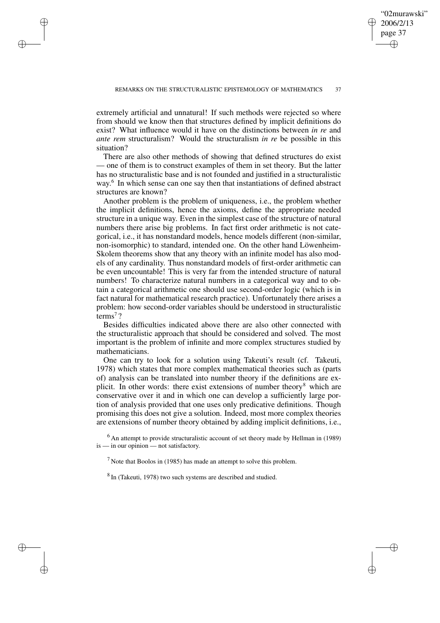✐

✐

✐

✐

✐

✐

extremely artificial and unnatural! If such methods were rejected so where from should we know then that structures defined by implicit definitions do exist? What influence would it have on the distinctions between *in re* and *ante rem* structuralism? Would the structuralism *in re* be possible in this situation?

There are also other methods of showing that defined structures do exist — one of them is to construct examples of them in set theory. But the latter has no structuralistic base and is not founded and justified in a structuralistic way. 6 In which sense can one say then that instantiations of defined abstract structures are known?

Another problem is the problem of uniqueness, i.e., the problem whether the implicit definitions, hence the axioms, define the appropriate needed structure in a unique way. Even in the simplest case of the structure of natural numbers there arise big problems. In fact first order arithmetic is not categorical, i.e., it has nonstandard models, hence models different (non-similar, non-isomorphic) to standard, intended one. On the other hand Löwenheim-Skolem theorems show that any theory with an infinite model has also models of any cardinality. Thus nonstandard models of first-order arithmetic can be even uncountable! This is very far from the intended structure of natural numbers! To characterize natural numbers in a categorical way and to obtain a categorical arithmetic one should use second-order logic (which is in fact natural for mathematical research practice). Unfortunately there arises a problem: how second-order variables should be understood in structuralistic terms<sup>7</sup>?

Besides difficulties indicated above there are also other connected with the structuralistic approach that should be considered and solved. The most important is the problem of infinite and more complex structures studied by mathematicians.

One can try to look for a solution using Takeuti's result (cf. Takeuti, 1978) which states that more complex mathematical theories such as (parts of) analysis can be translated into number theory if the definitions are explicit. In other words: there exist extensions of number theory<sup>8</sup> which are conservative over it and in which one can develop a sufficiently large portion of analysis provided that one uses only predicative definitions. Though promising this does not give a solution. Indeed, most more complex theories are extensions of number theory obtained by adding implicit definitions, i.e.,

 $6$  An attempt to provide structuralistic account of set theory made by Hellman in (1989) is — in our opinion — not satisfactory.

 $<sup>7</sup>$  Note that Boolos in (1985) has made an attempt to solve this problem.</sup>

<sup>8</sup> In (Takeuti, 1978) two such systems are described and studied.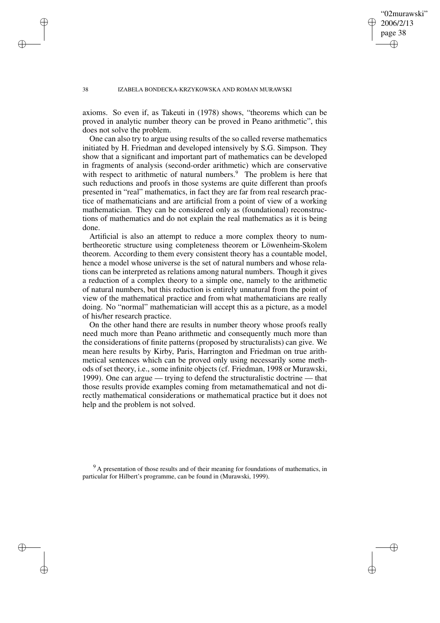## "02murawski" 2006/2/13 page 38 ✐ ✐

✐

✐

#### 38 IZABELA BONDECKA-KRZYKOWSKA AND ROMAN MURAWSKI

✐

✐

✐

✐

axioms. So even if, as Takeuti in (1978) shows, "theorems which can be proved in analytic number theory can be proved in Peano arithmetic", this does not solve the problem.

One can also try to argue using results of the so called reverse mathematics initiated by H. Friedman and developed intensively by S.G. Simpson. They show that a significant and important part of mathematics can be developed in fragments of analysis (second-order arithmetic) which are conservative with respect to arithmetic of natural numbers.<sup>9</sup> The problem is here that such reductions and proofs in those systems are quite different than proofs presented in "real" mathematics, in fact they are far from real research practice of mathematicians and are artificial from a point of view of a working mathematician. They can be considered only as (foundational) reconstructions of mathematics and do not explain the real mathematics as it is being done.

Artificial is also an attempt to reduce a more complex theory to numbertheoretic structure using completeness theorem or Löwenheim-Skolem theorem. According to them every consistent theory has a countable model, hence a model whose universe is the set of natural numbers and whose relations can be interpreted as relations among natural numbers. Though it gives a reduction of a complex theory to a simple one, namely to the arithmetic of natural numbers, but this reduction is entirely unnatural from the point of view of the mathematical practice and from what mathematicians are really doing. No "normal" mathematician will accept this as a picture, as a model of his/her research practice.

On the other hand there are results in number theory whose proofs really need much more than Peano arithmetic and consequently much more than the considerations of finite patterns (proposed by structuralists) can give. We mean here results by Kirby, Paris, Harrington and Friedman on true arithmetical sentences which can be proved only using necessarily some methods ofset theory, i.e., some infinite objects (cf. Friedman, 1998 or Murawski, 1999). One can argue — trying to defend the structuralistic doctrine — that those results provide examples coming from metamathematical and not directly mathematical considerations or mathematical practice but it does not help and the problem is not solved.

<sup>9</sup> A presentation of those results and of their meaning for foundations of mathematics, in particular for Hilbert's programme, can be found in (Murawski, 1999).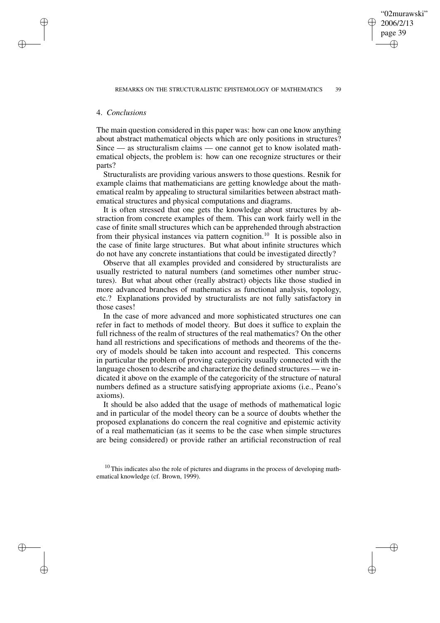# 4. *Conclusions*

✐

✐

✐

✐

The main question considered in this paper was: how can one know anything about abstract mathematical objects which are only positions in structures? Since — as structuralism claims — one cannot get to know isolated mathematical objects, the problem is: how can one recognize structures or their parts?

Structuralists are providing various answers to those questions. Resnik for example claims that mathematicians are getting knowledge about the mathematical realm by appealing to structural similarities between abstract mathematical structures and physical computations and diagrams.

It is often stressed that one gets the knowledge about structures by abstraction from concrete examples of them. This can work fairly well in the case of finite small structures which can be apprehended through abstraction from their physical instances via pattern cognition.<sup>10</sup> It is possible also in the case of finite large structures. But what about infinite structures which do not have any concrete instantiations that could be investigated directly?

Observe that all examples provided and considered by structuralists are usually restricted to natural numbers (and sometimes other number structures). But what about other (really abstract) objects like those studied in more advanced branches of mathematics as functional analysis, topology, etc.? Explanations provided by structuralists are not fully satisfactory in those cases!

In the case of more advanced and more sophisticated structures one can refer in fact to methods of model theory. But does it suffice to explain the full richness of the realm of structures of the real mathematics? On the other hand all restrictions and specifications of methods and theorems of the theory of models should be taken into account and respected. This concerns in particular the problem of proving categoricity usually connected with the language chosen to describe and characterize the defined structures — we indicated it above on the example of the categoricity of the structure of natural numbers defined as a structure satisfying appropriate axioms (i.e., Peano's axioms).

It should be also added that the usage of methods of mathematical logic and in particular of the model theory can be a source of doubts whether the proposed explanations do concern the real cognitive and epistemic activity of a real mathematician (as it seems to be the case when simple structures are being considered) or provide rather an artificial reconstruction of real

 $10$  This indicates also the role of pictures and diagrams in the process of developing mathematical knowledge (cf. Brown, 1999).

"02murawski" 2006/2/13 page 39

✐

✐

✐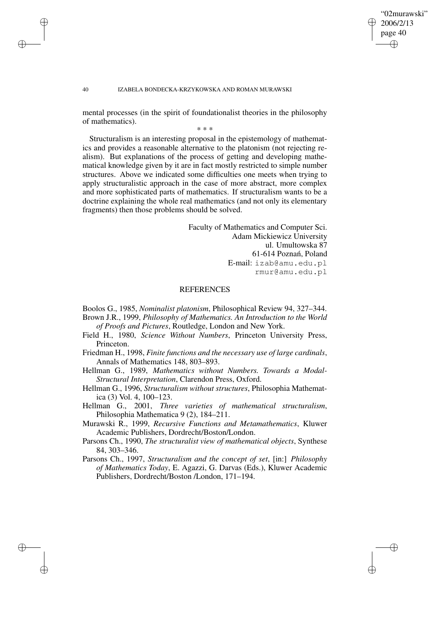## 2006/2/13 page 40 ✐ ✐

✐

✐

"02murawski"

### 40 IZABELA BONDECKA-KRZYKOWSKA AND ROMAN MURAWSKI

✐

✐

✐

✐

mental processes (in the spirit of foundationalist theories in the philosophy of mathematics). \* \* \*

Structuralism is an interesting proposal in the epistemology of mathematics and provides a reasonable alternative to the platonism (not rejecting realism). But explanations of the process of getting and developing mathematical knowledge given by it are in fact mostly restricted to simple number structures. Above we indicated some difficulties one meets when trying to apply structuralistic approach in the case of more abstract, more complex and more sophisticated parts of mathematics. If structuralism wants to be a doctrine explaining the whole real mathematics (and not only its elementary fragments) then those problems should be solved.

> Faculty of Mathematics and Computer Sci. Adam Mickiewicz University ul. Umultowska 87 61-614 Poznań, Poland E-mail: izab@amu.edu.pl rmur@amu.edu.pl

# **REFERENCES**

Boolos G., 1985, *Nominalist platonism*, Philosophical Review 94, 327–344. Brown J.R., 1999, *Philosophy of Mathematics. An Introduction to the World of Proofs and Pictures*, Routledge, London and New York.

- Field H., 1980, *Science Without Numbers*, Princeton University Press, Princeton.
- Friedman H., 1998, *Finite functions and the necessary use of large cardinals*, Annals of Mathematics 148, 803–893.
- Hellman G., 1989, *Mathematics without Numbers. Towards a Modal-Structural Interpretation*, Clarendon Press, Oxford.
- Hellman G., 1996, *Structuralism without structures*, Philosophia Mathematica (3) Vol. 4, 100–123.
- Hellman G., 2001, *Three varieties of mathematical structuralism*, Philosophia Mathematica 9 (2), 184–211.
- Murawski R., 1999, *Recursive Functions and Metamathematics*, Kluwer Academic Publishers, Dordrecht/Boston/London.
- Parsons Ch., 1990, *The structuralist view of mathematical objects*, Synthese 84, 303–346.
- Parsons Ch., 1997, *Structuralism and the concept of set*, [in:] *Philosophy of Mathematics Today*, E. Agazzi, G. Darvas (Eds.), Kluwer Academic Publishers, Dordrecht/Boston /London, 171–194.